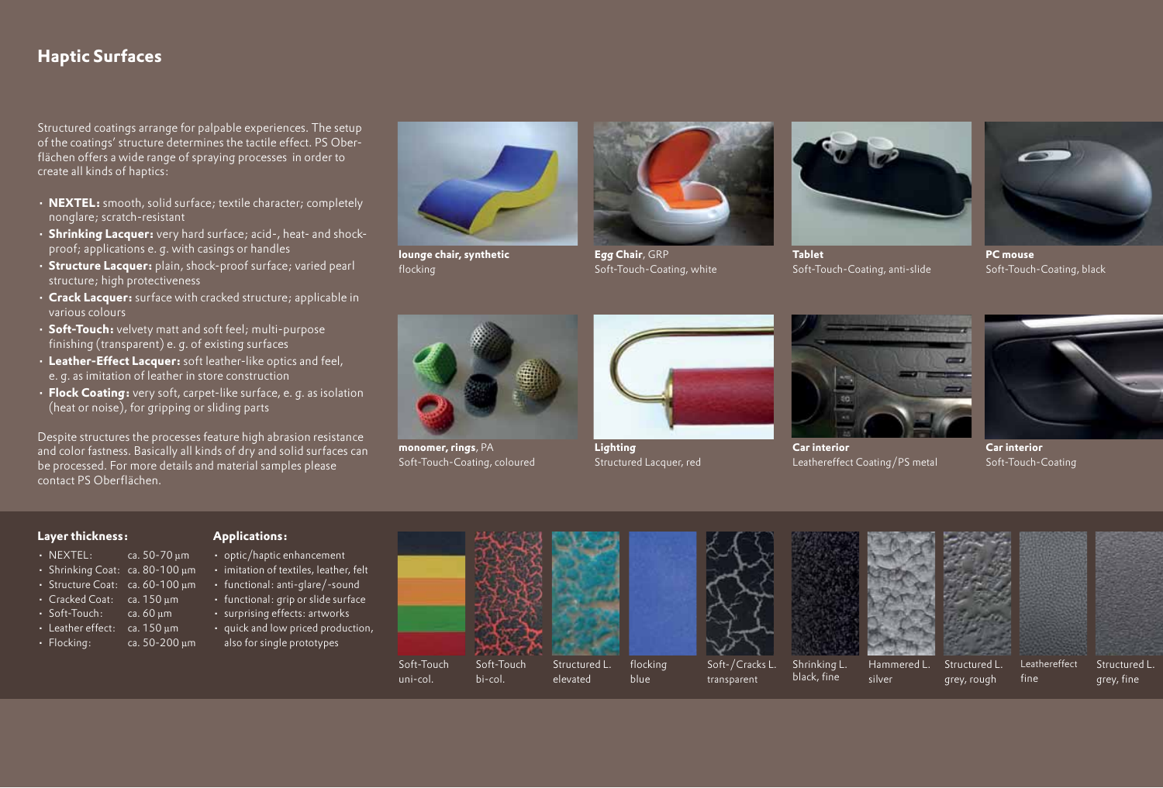# **Haptic Surfaces**

Structured coatings arrange for palpable experiences. The setup of the coatings' structure determines the tactile effect. PS Oberflächen offers a wide range of spraying processes in order to create all kinds of haptics:

- **NEXTEL:** smooth, solid surface; textile character; completely nonglare; scratch-resistant
- **Shrinking Lacquer:** very hard surface; acid-, heat- and shockproof; applications e. g. with casings or handles
- **Structure Lacquer:** plain, shock-proof surface; varied pearl structure; high protectiveness
- **Crack Lacquer:** surface with cracked structure; applicable in various colours
- **Soft-Touch:** velvety matt and soft feel; multi-purpose finishing (transparent) e. g. of existing surfaces
- **Leather-Effect Lacquer:** soft leather-like optics and feel, e. g. as imitation of leather in store construction
- **Flock Coating:** very soft, carpet-like surface, e. g. as isolation (heat or noise), for gripping or sliding parts

Despite structures the processes feature high abrasion resistance and color fastness. Basically all kinds of dry and solid surfaces can be processed. For more details and material samples please contact PS Oberflächen.

**lounge chair, synthetic** flocking



Soft-Touch-Coating, white



**Tablet** Soft-Touch-Coating, anti-slide



**PC mouse** Soft-Touch-Coating, black



**monomer, rings**, PA Soft-Touch-Coating, coloured



**Lighting** Structured Lacquer, red

blue



**Car interior** Leathereffect Coating/PS metal



**Car interior** Soft-Touch-Coating

fine

#### **Layer thickness:**

- NEXTEL: ca. 50-70 µm
- Shrinking Coat: ca. 80-100 µm
- Structure Coat: ca. 60-100 µm
- Cracked Coat: ca. 150 µm
- Soft-Touch: ca. 60 µm
- Leather effect: ca. 150 um
- $\cdot$  Flocking: ca. 50-200  $\mu$ m

#### **Applications:**

- optic/haptic enhancement
- imitation of textiles, leather, felt
- functional: anti-glare/-sound
- functional: grip or slide surface
- surprising effects: artworks • quick and low priced production,
- also for single prototypes



elevated

Soft-Touch bi-col.

uni-col.







silver



Structured L. grey, rough



Leathereffect